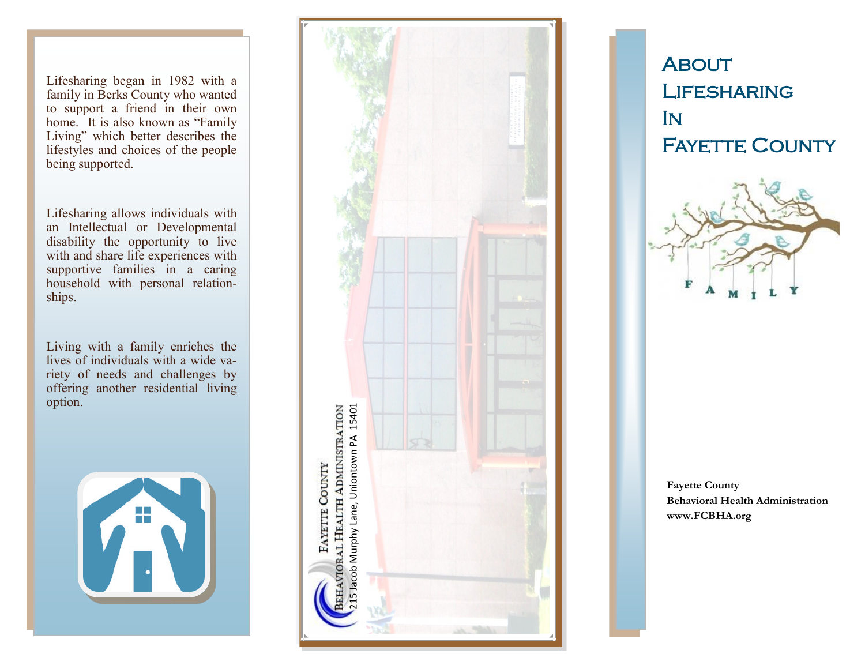Lifesharing began in 1982 with a family in Berks County who wanted to support a friend in their own home. It is also known as "Family Living" which better describes the lifestyles and choices of the people being supported.

Lifesharing allows individuals with an Intellectual or Developmental disability the opportunity to live with and share life experiences with supportive families in a caring household with personal relationships.

Living with a family enriches the lives of individuals with a wide variety of needs and challenges by offering another residential living option.





**ABOUT LIFESHARING** In **FAYETTE COUNTY** 



**Fayette County Behavioral Health Administration www.FCBHA.org**